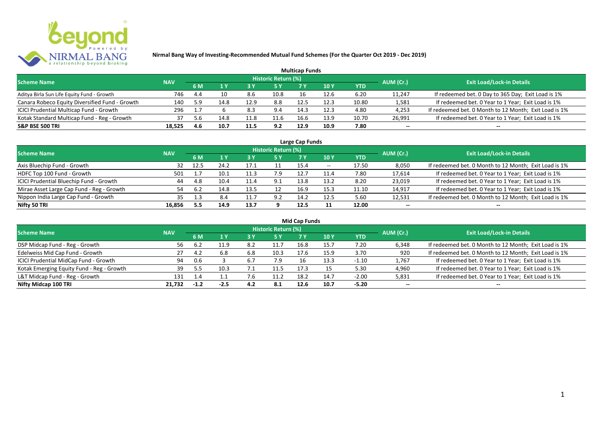

| <b>Multicap Funds</b>                          |            |     |      |      |                     |      |      |       |           |                                                       |  |  |  |  |
|------------------------------------------------|------------|-----|------|------|---------------------|------|------|-------|-----------|-------------------------------------------------------|--|--|--|--|
| <b>Scheme Name</b>                             | <b>NAV</b> |     |      |      | Historic Return (%) |      |      |       | AUM (Cr.) | <b>Exit Load/Lock-in Details</b>                      |  |  |  |  |
|                                                |            | 6 M |      |      |                     |      | 10 Y | YTD   |           |                                                       |  |  |  |  |
| Aditya Birla Sun Life Equity Fund - Growth     | 746        | 4.4 | 10   | 8.6  | 10.8                | 16   | 12.6 | 6.20  | 11,247    | If redeemed bet. 0 Day to 365 Day; Exit Load is 1%    |  |  |  |  |
| Canara Robeco Equity Diversified Fund - Growth | 140        | 5.9 | 14.8 | 12.9 | 8.8                 | 12.5 | 12.3 | 10.80 | 1,581     | If redeemed bet. 0 Year to 1 Year; Exit Load is 1%    |  |  |  |  |
| ICICI Prudential Multicap Fund - Growth        | 296        |     |      | 8.3  | 9.4                 | 14.3 | 12.3 | 4.80  | 4,253     | If redeemed bet. 0 Month to 12 Month; Exit Load is 1% |  |  |  |  |
| Kotak Standard Multicap Fund - Reg - Growth    | 37         | 5.6 | 14.8 | 11.8 | 11.6                | 16.6 | 13.9 | 10.70 | 26,991    | If redeemed bet. 0 Year to 1 Year; Exit Load is 1%    |  |  |  |  |
| <b>S&amp;P BSE 500 TRI</b>                     | 18.525     | 4.6 | 10.7 | 11.5 | 9.2                 | 12.9 | 10.9 | 7.80  | --        | $- -$                                                 |  |  |  |  |

| Large Cap Funds                           |            |           |      |      |                            |      |                          |       |           |                                                       |  |  |  |
|-------------------------------------------|------------|-----------|------|------|----------------------------|------|--------------------------|-------|-----------|-------------------------------------------------------|--|--|--|
| <b>Scheme Name</b>                        | <b>NAV</b> |           |      |      | <b>Historic Return (%)</b> |      |                          |       | AUM (Cr.) | <b>Exit Load/Lock-in Details</b>                      |  |  |  |
|                                           |            | <b>6M</b> |      |      | <b>5 Y</b>                 | 7 Y  | 10Y                      | YTD   |           |                                                       |  |  |  |
| Axis Bluechip Fund - Growth               | 32         | 12.5      | 24.2 |      |                            | 15.4 | $\overline{\phantom{a}}$ | 17.50 | 8,050     | If redeemed bet. 0 Month to 12 Month; Exit Load is 1% |  |  |  |
| HDFC Top 100 Fund - Growth                | 501        |           | 10.1 | 11.3 | 7.9                        | 12.7 | 11.4                     | 7.80  | 17,614    | If redeemed bet. 0 Year to 1 Year; Exit Load is 1%    |  |  |  |
| ICICI Prudential Bluechip Fund - Growth   | 44         | 4.8       | 10.4 | 11.4 | 9.1                        | 13.8 | 13.2                     | 8.20  | 23,019    | If redeemed bet. 0 Year to 1 Year; Exit Load is 1%    |  |  |  |
| Mirae Asset Large Cap Fund - Reg - Growth | 54         | -6.2      | 14.8 | 13.5 |                            | 16.9 | 15.3                     | 11.10 | 14,917    | If redeemed bet. 0 Year to 1 Year; Exit Load is 1%    |  |  |  |
| Nippon India Large Cap Fund - Growth      | 35         |           | 8.4  |      | 9.2                        | 14.2 | 12.5                     | 5.60  | 12,531    | If redeemed bet. 0 Month to 12 Month; Exit Load is 1% |  |  |  |
| Nifty 50 TRI                              | 16.856     | 5.5       | 14.9 | 13.7 |                            | 12.5 |                          | 12.00 | $- -$     | $- -$                                                 |  |  |  |

| <b>Mid Cap Funds</b>                      |            |        |      |     |                            |      |      |            |           |                                                       |  |  |  |
|-------------------------------------------|------------|--------|------|-----|----------------------------|------|------|------------|-----------|-------------------------------------------------------|--|--|--|
| <b>Scheme Name</b>                        | <b>NAV</b> |        |      |     | <b>Historic Return (%)</b> |      |      |            | AUM (Cr.) | <b>Exit Load/Lock-in Details</b>                      |  |  |  |
|                                           |            | 6 M    |      |     | 5 Y                        | 7 Y  | 10 Y | <b>YTD</b> |           |                                                       |  |  |  |
| DSP Midcap Fund - Reg - Growth            | 56         | .∠     | 11.9 | 8.2 | 11.7                       | 16.8 | 15.7 | 7.20       | 6,348     | If redeemed bet. 0 Month to 12 Month; Exit Load is 1% |  |  |  |
| Edelweiss Mid Cap Fund - Growth           | 27         | 4.4    | 6.8  | 6.8 | 10.3                       | 17.6 | 15.9 | 3.70       | 920       | If redeemed bet. 0 Month to 12 Month; Exit Load is 1% |  |  |  |
| ICICI Prudential MidCap Fund - Growth     | 94         | 0.6    |      | b., | 7.9                        |      | 13.3 | $-1.10$    | 1,767     | If redeemed bet. 0 Year to 1 Year; Exit Load is 1%    |  |  |  |
| Kotak Emerging Equity Fund - Reg - Growth | 39.        |        | 10.3 |     | 11.5                       | 17.3 |      | 5.30       | 4,960     | If redeemed bet. 0 Year to 1 Year; Exit Load is 1%    |  |  |  |
| L&T Midcap Fund - Reg - Growth            | 131        |        |      |     | 11.2                       | 18.2 | 14.7 | $-2.00$    | 5,831     | If redeemed bet. 0 Year to 1 Year; Exit Load is 1%    |  |  |  |
| Nifty Midcap 100 TRI                      | 21.732     | $-1.2$ | -2.5 | 4.2 | 8.1                        | 12.6 | 10.7 | $-5.20$    | $- -$     | $- -$                                                 |  |  |  |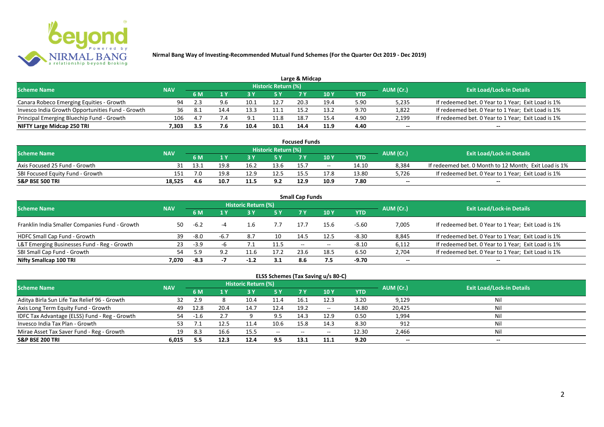

| Large & Midcap                                   |            |                |      |      |                            |      |      |      |           |                                                    |  |  |  |
|--------------------------------------------------|------------|----------------|------|------|----------------------------|------|------|------|-----------|----------------------------------------------------|--|--|--|
| <b>Scheme Name</b>                               | <b>NAV</b> |                |      |      | <b>Historic Return (%)</b> |      |      |      | AUM (Cr.) | <b>Exit Load/Lock-in Details</b>                   |  |  |  |
|                                                  |            | 6 M            |      |      | 5 Y                        |      |      | YTD  |           |                                                    |  |  |  |
| Canara Robeco Emerging Equities - Growth         | 94         |                |      |      | 12.7                       | 20.3 | 19.4 | 5.90 | 5,235     | If redeemed bet. 0 Year to 1 Year; Exit Load is 1% |  |  |  |
| Invesco India Growth Opportunities Fund - Growth | 36         |                | 14.4 | 13.3 |                            | 15.  | 13.2 | 9.70 | 1,822     | If redeemed bet. 0 Year to 1 Year; Exit Load is 1% |  |  |  |
| Principal Emerging Bluechip Fund - Growth        | 106        | 4 <sup>-</sup> | 7.4  | Q 1  | 11.8                       | 18.7 | 15.4 | 4.90 | 2,199     | If redeemed bet. 0 Year to 1 Year; Exit Load is 1% |  |  |  |
| NIFTY Large Midcap 250 TRI                       | 7.303      | 3.5            |      | 10.4 | 10.1                       | 14.4 | 11.9 | 4.40 | $- -$     | $- -$                                              |  |  |  |

| <b>Focused Funds</b>             |            |      |      |      |                            |      |       |       |           |                                                       |  |  |  |
|----------------------------------|------------|------|------|------|----------------------------|------|-------|-------|-----------|-------------------------------------------------------|--|--|--|
| <b>Scheme Name</b>               | <b>NAV</b> |      |      |      | <b>Historic Return (%)</b> |      |       |       | AUM (Cr.) | <b>Exit Load/Lock-in Details</b>                      |  |  |  |
|                                  |            | 6 M  |      |      | 5 Y                        |      | 10 Y  | YTD   |           |                                                       |  |  |  |
| Axis Focused 25 Fund - Growth    |            | 13.1 | 19.8 | 16.2 | 13.6                       | 15.7 | $- -$ | 14.10 | 8.384     | If redeemed bet. 0 Month to 12 Month; Exit Load is 1% |  |  |  |
| SBI Focused Equity Fund - Growth | 151        | 7.0  | 19.8 | 12.9 | 12.5                       |      | 17.8  | 13.80 | 5.726     | If redeemed bet. 0 Year to 1 Year; Exit Load is 1%    |  |  |  |
| <b>S&amp;P BSE 500 TRI</b>       | 18.525     | 4.6  | 10.7 | 11.5 | 9.2                        | 12.9 | 10.9  | 7.80  | $- -$     | $- -$                                                 |  |  |  |

| <b>Small Cap Funds</b>                         |            |        |        |                     |      |                          |       |            |           |                                                    |  |  |  |
|------------------------------------------------|------------|--------|--------|---------------------|------|--------------------------|-------|------------|-----------|----------------------------------------------------|--|--|--|
| <b>Scheme Name</b>                             | <b>NAV</b> |        |        | Historic Return (%) |      |                          |       |            | AUM (Cr.) | <b>Exit Load/Lock-in Details</b>                   |  |  |  |
|                                                |            |        |        |                     | 5 Y  | 7 Y                      | 10Y   | <b>YTD</b> |           |                                                    |  |  |  |
| Franklin India Smaller Companies Fund - Growth | 50         | -6.2   |        |                     | 7.7  | 17.7                     | 15.6  | $-5.60$    | 7,005     | If redeemed bet. 0 Year to 1 Year; Exit Load is 1% |  |  |  |
| HDFC Small Cap Fund - Growth                   | 39         | -8.0   | $-6.7$ | 8.7                 | 10   | 14.5                     | 12.5  | $-8.30$    | 8,845     | If redeemed bet. 0 Year to 1 Year; Exit Load is 1% |  |  |  |
| L&T Emerging Businesses Fund - Reg - Growth    | 23         | $-3.9$ |        |                     | 11.5 | $\overline{\phantom{a}}$ | $- -$ | $-8.10$    | 6,112     | If redeemed bet. 0 Year to 1 Year; Exit Load is 1% |  |  |  |
| SBI Small Cap Fund - Growth                    | 54         | .9د    | 9.2    | 11.6                | 17.2 | 23.6                     | 18.5  | 6.50       | 2,704     | If redeemed bet. 0 Year to 1 Year; Exit Load is 1% |  |  |  |
| Nifty Smallcap 100 TRI                         | 7.070      | -8.3   |        | $-1.2$              | 3.1  | 8.6                      | 7.5   | -9.70      | $- -$     | --                                                 |  |  |  |

## **ELSS Schemes (Tax Saving u/s 80-C)**

| <b>Scheme Name</b>                            | <b>NAV</b> |      |      | <b>Historic Return (%)</b> |           |       |               |       | AUM (Cr.) | <b>Exit Load/Lock-in Details</b> |
|-----------------------------------------------|------------|------|------|----------------------------|-----------|-------|---------------|-------|-----------|----------------------------------|
|                                               |            | 6 M  |      |                            | <b>5Y</b> | 7 Y   | <b>10Y</b>    | YTD   |           |                                  |
| Aditya Birla Sun Life Tax Relief 96 - Growth  | 32         |      |      | 10.4                       | 11.4      | 16.1  | 12.3          | 3.20  | 9,129     | Nil                              |
| Axis Long Term Equity Fund - Growth           | 49         | 12.8 | 20.4 | 14.7                       | 12.4      | 19.2  | $\sim$ $\sim$ | 14.80 | 20,425    | Nil                              |
| IDFC Tax Advantage (ELSS) Fund - Reg - Growth | 54         |      |      |                            | 9.5       | 14.3  | 12.9          | 0.50  | 1,994     | Nil                              |
| Invesco India Tax Plan - Growth               |            |      |      | 11.4                       | 10.6      | 15.8  | 14.3          | 8.30  | 912       | Nil                              |
| Mirae Asset Tax Saver Fund - Reg - Growth     | 19         | 8.3  | 16.6 | 15.5                       | $  \,$    | $- -$ | $- -$         | 12.30 | 2,466     | Nil                              |
| <b>S&amp;P BSE 200 TRI</b>                    | 6.015      | 5.5  | 12.3 | 12.4                       | 9.5       | 13.1  | 11.1          | 9.20  | $- -$     | $- -$                            |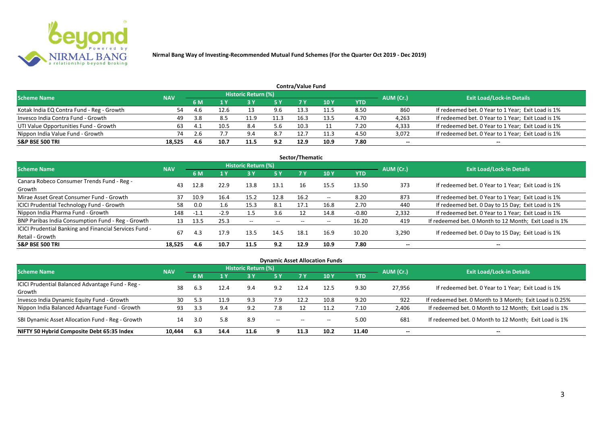

|                                           | Contra/Value Fund |      |      |                            |            |      |            |      |           |                                                    |  |  |  |  |  |
|-------------------------------------------|-------------------|------|------|----------------------------|------------|------|------------|------|-----------|----------------------------------------------------|--|--|--|--|--|
| <b>Scheme Name</b>                        | <b>NAV</b>        |      |      | <b>Historic Return (%)</b> |            |      |            |      | AUM (Cr.) | <b>Exit Load/Lock-in Details</b>                   |  |  |  |  |  |
|                                           |                   | 6 M  |      |                            | <b>5 Y</b> | 7 V  | <b>10Y</b> | YTD  |           |                                                    |  |  |  |  |  |
| Kotak India EQ Contra Fund - Reg - Growth |                   | 4.b  | 12.6 |                            | 9.6        | 13.3 | 11.5       | 8.50 | 860       | If redeemed bet. 0 Year to 1 Year; Exit Load is 1% |  |  |  |  |  |
| Invesco India Contra Fund - Growth        | 49                | -3.8 | 8.5  |                            | 11.3       | 16.3 | 13.5       | 4.70 | 4,263     | If redeemed bet. 0 Year to 1 Year; Exit Load is 1% |  |  |  |  |  |
| UTI Value Opportunities Fund - Growth     | 63                | 4. . | 10.5 | 8.4                        | 5.6        | 10.3 |            | 7.20 | 4,333     | If redeemed bet. 0 Year to 1 Year; Exit Load is 1% |  |  |  |  |  |
| Nippon India Value Fund - Growth          | 74                |      |      | 9.4                        | 8.7        | 12.  | 11.3       | 4.50 | 3,072     | If redeemed bet. 0 Year to 1 Year; Exit Load is 1% |  |  |  |  |  |
| <b>S&amp;P BSE 500 TRI</b>                | 18.525            | 4.6  | 10.7 | 11.5                       | 9.2        | 12.9 | 10.9       | 7.80 | $- -$     | $- -$                                              |  |  |  |  |  |

| Sector/Thematic                                                           |            |        |        |                          |            |      |                          |            |           |                                                       |  |  |  |  |
|---------------------------------------------------------------------------|------------|--------|--------|--------------------------|------------|------|--------------------------|------------|-----------|-------------------------------------------------------|--|--|--|--|
| <b>Scheme Name</b>                                                        | <b>NAV</b> |        |        | Historic Return (%)      |            |      |                          |            | AUM (Cr.) | <b>Exit Load/Lock-in Details</b>                      |  |  |  |  |
|                                                                           |            | 6 M    | 1 Y    | <b>3Y</b>                | <b>5 Y</b> | 7 Y  | <b>10Y</b>               | <b>YTD</b> |           |                                                       |  |  |  |  |
| Canara Robeco Consumer Trends Fund - Reg -<br>Growth                      | 43         | 12.8   | 22.9   | 13.8                     | 13.1       | 16   | 15.5                     | 13.50      | 373       | If redeemed bet. 0 Year to 1 Year; Exit Load is 1%    |  |  |  |  |
| Mirae Asset Great Consumer Fund - Growth                                  | 37         | 10.9   | 16.4   | 15.2                     | 12.8       | 16.2 | $- -$                    | 8.20       | 873       | If redeemed bet. 0 Year to 1 Year; Exit Load is 1%    |  |  |  |  |
| <b>ICICI Prudential Technology Fund - Growth</b>                          | 58         | 0.0    | 1.6    | 15.3                     | 8.1        | 17.1 | 16.8                     | 2.70       | 440       | If redeemed bet. 0 Day to 15 Day; Exit Load is 1%     |  |  |  |  |
| Nippon India Pharma Fund - Growth                                         | 148        | $-1.1$ | $-2.9$ | 1.5                      | 3.6        | 12   | 14.8                     | $-0.80$    | 2,332     | If redeemed bet. 0 Year to 1 Year; Exit Load is 1%    |  |  |  |  |
| BNP Paribas India Consumption Fund - Reg - Growth                         | 13         | 13.5   | 25.3   | $\overline{\phantom{a}}$ | $- -$      | --   | $\overline{\phantom{a}}$ | 16.20      | 419       | If redeemed bet. 0 Month to 12 Month; Exit Load is 1% |  |  |  |  |
| ICICI Prudential Banking and Financial Services Fund -<br>Retail - Growth | 67         | 4.3    | 17.9   | 13.5                     | 14.5       | 18.1 | 16.9                     | 10.20      | 3,290     | If redeemed bet. 0 Day to 15 Day; Exit Load is 1%     |  |  |  |  |
| <b>S&amp;P BSE 500 TRI</b>                                                | 18.525     | 4.6    | 10.7   | 11.5                     | 9.2        | 12.9 | 10.9                     | 7.80       | --        | $\overline{\phantom{a}}$                              |  |  |  |  |

| <b>Dynamic Asset Allocation Funds</b>                      |            |           |      |                            |         |                          |                          |            |           |                                                         |  |  |  |
|------------------------------------------------------------|------------|-----------|------|----------------------------|---------|--------------------------|--------------------------|------------|-----------|---------------------------------------------------------|--|--|--|
| Scheme Name                                                | <b>NAV</b> |           |      | <b>Historic Return (%)</b> |         |                          |                          |            |           | <b>Exit Load/Lock-in Details</b>                        |  |  |  |
|                                                            |            | <b>6M</b> | 1 Y  | 3 Y                        | 5 Y     | <b>7Y</b>                | <b>10Y</b>               | <b>YTD</b> | AUM (Cr.) |                                                         |  |  |  |
| ICICI Prudential Balanced Advantage Fund - Reg -<br>Growth | 38         | 6.3       | 12.4 | 9.4                        | 9.2     | 12.4                     | 12.5                     | 9.30       | 27,956    | If redeemed bet. 0 Year to 1 Year; Exit Load is 1%      |  |  |  |
| Invesco India Dynamic Equity Fund - Growth                 | 30         | 5.3       | 11.9 | 9.3                        | 7.9     | 12.2                     | 10.8                     | 9.20       | 922       | If redeemed bet. 0 Month to 3 Month; Exit Load is 0.25% |  |  |  |
| Nippon India Balanced Advantage Fund - Growth              | 93         | 3.3       | 9.4  | 9.2                        | 7.8     |                          | 11.2                     | 7.10       | 2,406     | If redeemed bet. 0 Month to 12 Month; Exit Load is 1%   |  |  |  |
| SBI Dynamic Asset Allocation Fund - Reg - Growth           | 14         | 3.0       | 5.8  | 8.9                        | $-  \,$ | $\overline{\phantom{a}}$ | $\overline{\phantom{a}}$ | 5.00       | 681       | If redeemed bet. 0 Month to 12 Month; Exit Load is 1%   |  |  |  |
| NIFTY 50 Hybrid Composite Debt 65:35 Index                 | 10,444     | 6.3       | 14.4 | 11.6                       |         | 11.3                     | 10.2                     | 11.40      | $- -$     | $- -$                                                   |  |  |  |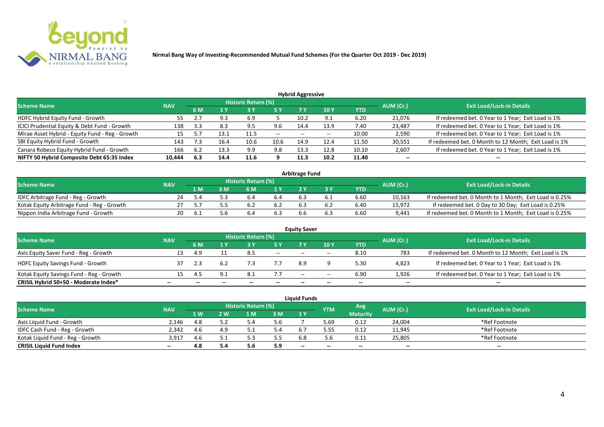

| <b>Hybrid Aggressive</b>                        |            |              |      |                            |            |       |      |            |           |                                                       |  |  |  |  |
|-------------------------------------------------|------------|--------------|------|----------------------------|------------|-------|------|------------|-----------|-------------------------------------------------------|--|--|--|--|
| <b>Scheme Name</b>                              | <b>NAV</b> |              |      | <b>Historic Return (%)</b> |            |       |      |            | AUM (Cr.) | <b>Exit Load/Lock-in Details</b>                      |  |  |  |  |
|                                                 |            | 6 M          | 1 Y  | 13 Y                       | <b>5 Y</b> | 7 Y   | 10 Y | <b>YTD</b> |           |                                                       |  |  |  |  |
| HDFC Hybrid Equity Fund - Growth                | 55         | $\mathbf{z}$ | 9.3  | 6.9                        |            | 10.2  | 9.1  | 6.20       | 21,076    | If redeemed bet. 0 Year to 1 Year; Exit Load is 1%    |  |  |  |  |
| ICICI Prudential Equity & Debt Fund - Growth    | 138        | 3.3          | 8.3  | 9.5                        | 9.6        | 14.4  | 13.9 | 7.40       | 23,487    | If redeemed bet. 0 Year to 1 Year; Exit Load is 1%    |  |  |  |  |
| Mirae Asset Hybrid - Equity Fund - Reg - Growth | 15         |              | 13.1 | 11.5                       | $- -$      | $- -$ | $-$  | 10.00      | 2,590     | If redeemed bet. 0 Year to 1 Year; Exit Load is 1%    |  |  |  |  |
| SBI Equity Hybrid Fund - Growth                 | 143        | 7.3          | 16.4 | 10.6                       | 10.6       | 14.9  | 12.4 | 11.50      | 30,551    | If redeemed bet. 0 Month to 12 Month; Exit Load is 1% |  |  |  |  |
| Canara Robeco Equity Hybrid Fund - Growth       | 166        | 6.2          | 13.3 | 9.9                        | 9.8        | 13.3  | 12.8 | 10.10      | 2,607     | If redeemed bet. 0 Year to 1 Year; Exit Load is 1%    |  |  |  |  |
| NIFTY 50 Hybrid Composite Debt 65:35 Index      | 10,444     | 6.3          | 14.4 | 11.6                       |            | 11.3  | 10.2 | 11.40      | $- -$     | $- -$                                                 |  |  |  |  |

| <b>Arbitrage Fund</b>                      |            |     |   |                            |     |  |  |            |           |                                                         |  |  |  |
|--------------------------------------------|------------|-----|---|----------------------------|-----|--|--|------------|-----------|---------------------------------------------------------|--|--|--|
| <b>Scheme Name</b>                         | <b>NAV</b> |     |   | <b>Historic Return (%)</b> |     |  |  |            | AUM (Cr.) | <b>Exit Load/Lock-in Details</b>                        |  |  |  |
|                                            |            | 1 M | M | ና M                        | 1 V |  |  | <b>YTD</b> |           |                                                         |  |  |  |
| IDFC Arbitrage Fund - Reg - Growth         |            |     |   |                            |     |  |  | 6.60       | 10,163    | If redeemed bet. 0 Month to 1 Month; Exit Load is 0.25% |  |  |  |
| Kotak Equity Arbitrage Fund - Reg - Growth |            |     |   |                            |     |  |  | 6.40       | 15,972    | If redeemed bet. 0 Day to 30 Day; Exit Load is 0.25%    |  |  |  |
| Nippon India Arbitrage Fund - Growth       | 20         |     |   |                            | 6.3 |  |  | 6.60       | 9,441     | If redeemed bet. 0 Month to 1 Month; Exit Load is 0.25% |  |  |  |

|                                          |            |                          |  |                     |       | <b>Equity Saver</b>      |        |      |           |                                                       |
|------------------------------------------|------------|--------------------------|--|---------------------|-------|--------------------------|--------|------|-----------|-------------------------------------------------------|
| <b>Scheme Name</b>                       | <b>NAV</b> |                          |  | Historic Return (%) |       |                          |        |      | AUM (Cr.) | <b>Exit Load/Lock-in Details</b>                      |
|                                          |            | <b>10Y</b><br>7 V<br>6 M |  | <b>YTD</b>          |       |                          |        |      |           |                                                       |
| Axis Equity Saver Fund - Reg - Growth    |            | 4.9                      |  | 8.5                 | $ -$  | $-$                      | $\sim$ | 8.10 | 783       | If redeemed bet. 0 Month to 12 Month; Exit Load is 1% |
| <b>HDFC Equity Savings Fund - Growth</b> |            |                          |  |                     |       | 8.9                      |        | 5.30 | 4,823     | If redeemed bet. 0 Year to 1 Year; Exit Load is 1%    |
| Kotak Equity Savings Fund - Reg - Growth |            |                          |  | 8.1                 | 7.7   | $\overline{\phantom{a}}$ | $- -$  | 6.90 | 1,926     | If redeemed bet. 0 Year to 1 Year; Exit Load is 1%    |
| CRISIL Hybrid 50+50 - Moderate Index*    |            |                          |  |                     | $- -$ |                          | --     |      | $- -$     |                                                       |

| <b>Liquid Funds</b>              |            |            |               |                     |     |           |        |                 |           |                                  |  |  |  |
|----------------------------------|------------|------------|---------------|---------------------|-----|-----------|--------|-----------------|-----------|----------------------------------|--|--|--|
| Scheme Name                      | <b>NAV</b> |            |               | Historic Return (%) |     |           | YTM    | Avg             | AUM (Cr.) | <b>Exit Load/Lock-in Details</b> |  |  |  |
|                                  |            | <b>1 W</b> | $^{\prime}$ M | 1 M                 | 3M  | <b>1Y</b> |        | <b>Maturity</b> |           |                                  |  |  |  |
| Axis Liquid Fund - Growth        | 2.146      | 4.8        |               |                     | 5.6 |           | 5.69   | 0.12            | 24,004    | *Ref Footnote                    |  |  |  |
| IDFC Cash Fund - Reg - Growth    | 2.342      | 4.6        |               |                     | 5.4 | 6.        | 5.5. د | 0.12            | 11,945    | *Ref Footnote                    |  |  |  |
| Kotak Liquid Fund - Reg - Growth | 3.91       | 4.6        |               |                     | 5.5 | 6.8       |        | 0.11            | 25,805    | *Ref Footnote                    |  |  |  |
| <b>CRISIL Liquid Fund Index</b>  | $- -$      | 4.8        |               | ס.כ                 | 5.9 | $- -$     | $- -$  | $- -$           | $- -$     | $- -$                            |  |  |  |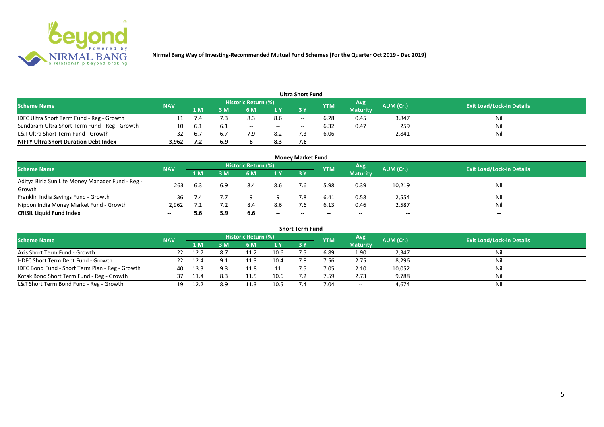

|                                               |            |     |      |                            |        | Ultra Short Fund         |            |                 |           |                                  |
|-----------------------------------------------|------------|-----|------|----------------------------|--------|--------------------------|------------|-----------------|-----------|----------------------------------|
| <b>Scheme Name</b>                            | <b>NAV</b> |     |      | <b>Historic Return (%)</b> |        |                          | <b>YTM</b> | Avg             | AUM (Cr.) | <b>Exit Load/Lock-in Details</b> |
|                                               |            | 1 M | M    | 6 M                        | 1 Y    | <b>3Y</b>                |            | <b>Maturity</b> |           |                                  |
| IDFC Ultra Short Term Fund - Reg - Growth     |            | 7.4 |      | 8.3                        | 8.6    | $- -$                    | 6.28       | 0.45            | 3,847     | Nil                              |
| Sundaram Ultra Short Term Fund - Reg - Growth | 10         |     | -6.1 | $- -$                      | $\sim$ | $\overline{\phantom{a}}$ | 6.32       | 0.47            | 259       | Nil                              |
| L&T Ultra Short Term Fund - Growth            |            |     |      |                            | 8.2    |                          | 6.06       | $- -$           | 2,841     | Nil                              |
| <b>NIFTY Ultra Short Duration Debt Index</b>  | 3.962      | 7.2 | 6.9  |                            | 8.3    | 7.6                      | $- -$      | $- -$           | $- -$     | $- -$                            |
|                                               |            |     |      |                            |        |                          |            |                 |           |                                  |

| <b>Money Market Fund</b>                                   |            |                |     |                     |       |           |            |                 |           |                                  |  |  |  |
|------------------------------------------------------------|------------|----------------|-----|---------------------|-------|-----------|------------|-----------------|-----------|----------------------------------|--|--|--|
| <b>Scheme Name</b>                                         | <b>NAV</b> |                |     | Historic Return (%) |       |           | <b>YTM</b> | Avg'            | AUM (Cr.) | <b>Exit Load/Lock-in Details</b> |  |  |  |
|                                                            |            | 1 <sub>M</sub> | MК  | 6 M                 | 1Y    | <b>3Y</b> |            | <b>Maturity</b> |           |                                  |  |  |  |
| Aditya Birla Sun Life Money Manager Fund - Reg -<br>Growth | 263        | 6.3            | 6.9 | 8.4                 | 8.6   |           | 5.98       | 0.39            | 10,219    | Nil                              |  |  |  |
| Franklin India Savings Fund - Growth                       | 36         | 7.4            |     |                     |       |           | 6.41       | 0.58            | 2,554     | Nil                              |  |  |  |
| Nippon India Money Market Fund - Growth                    | 2,962      |                |     | 8.4                 | 8.6   |           | 6.13       | 0.46            | 2,587     | Nil                              |  |  |  |
| <b>CRISIL Liquid Fund Index</b>                            | $- -$      | 5.6            | 5.9 | 6.6                 | $- -$ | $- -$     | $- -$      | $- -$           | $- -$     | $- -$                            |  |  |  |

| <b>Short Term Fund</b>                          |            |       |     |                     |      |           |            |                 |           |                                  |  |  |  |
|-------------------------------------------------|------------|-------|-----|---------------------|------|-----------|------------|-----------------|-----------|----------------------------------|--|--|--|
| <b>Scheme Name</b>                              | <b>NAV</b> |       |     | Historic Return (%) |      |           | <b>YTM</b> | Avg             | AUM (Cr.) | <b>Exit Load/Lock-in Details</b> |  |  |  |
|                                                 |            | '1 M. | 3 M | 6 M                 | 1Y   | <b>3Y</b> |            | <b>Maturity</b> |           |                                  |  |  |  |
| Axis Short Term Fund - Growth                   | 22         | 12.7  |     |                     | 10.6 |           | 6.89       | 1.90            | 2,347     | Nil                              |  |  |  |
| HDFC Short Term Debt Fund - Growth              | 22         | 12.4  |     | 11.3                | 10.4 | 7.8       | 7.56       | 2.75            | 8,296     | Nil                              |  |  |  |
| IDFC Bond Fund - Short Term Plan - Reg - Growth | 40         | 13.3  |     | 11.8                |      |           | 7.05       | 2.10            | 10,052    | Nil                              |  |  |  |
| Kotak Bond Short Term Fund - Reg - Growth       |            |       |     | 11.5                | 10.6 |           | 7.59       | 2.73            | 9,788     | Nil                              |  |  |  |
| L&T Short Term Bond Fund - Reg - Growth         | 19         | 12.2  | 8.9 | 11.3                | 10.5 |           | 7.04       | $\sim$          | 4,674     | Nil                              |  |  |  |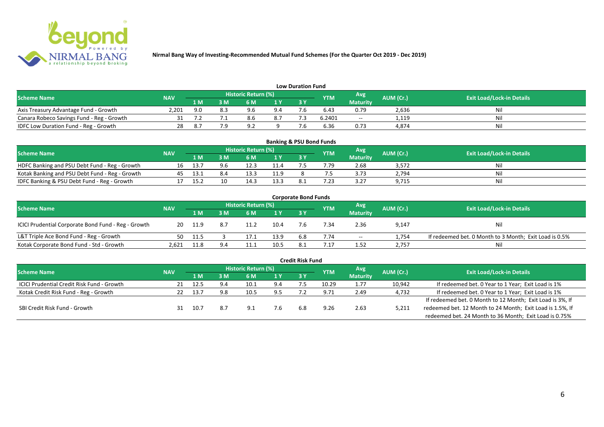

| <b>Low Duration Fund</b>                  |            |     |     |                            |     |      |            |                 |           |                                  |  |  |  |  |
|-------------------------------------------|------------|-----|-----|----------------------------|-----|------|------------|-----------------|-----------|----------------------------------|--|--|--|--|
| <b>Scheme Name</b>                        | <b>NAV</b> |     |     | <b>Historic Return (%)</b> |     |      | <b>YTM</b> | Avg             | AUM (Cr.) | <b>Exit Load/Lock-in Details</b> |  |  |  |  |
|                                           |            | 1 M | 3 M |                            | 1Y  | 73 Y |            | <b>Maturity</b> |           |                                  |  |  |  |  |
| Axis Treasury Advantage Fund - Growth     | 2,201      | 9.0 |     | QG                         | 9.4 |      | 6.43       | 0.79            | 2,636     | Ni                               |  |  |  |  |
| Canara Robeco Savings Fund - Reg - Growth |            |     |     |                            | 8.7 |      | 6.2401     | $-$             | 1,119     | Nil                              |  |  |  |  |
| IDFC Low Duration Fund - Reg - Growth     |            |     |     | $\circ$                    |     |      | 6.36       | 0.73            | 4,874     | Nil                              |  |  |  |  |

| <b>Banking &amp; PSU Bond Funds</b>            |            |      |     |                            |      |      |            |                 |           |                                  |  |  |  |
|------------------------------------------------|------------|------|-----|----------------------------|------|------|------------|-----------------|-----------|----------------------------------|--|--|--|
| <b>Scheme Name</b>                             | <b>NAV</b> |      |     | <b>Historic Return (%)</b> |      |      | <b>YTM</b> | Avg             | AUM (Cr.) | <b>Exit Load/Lock-in Details</b> |  |  |  |
|                                                |            | 1 M  |     | 6 M                        |      | 73 Y |            | <b>Maturity</b> |           |                                  |  |  |  |
| HDFC Banking and PSU Debt Fund - Reg - Growth  | 16         | 13.7 | 9.6 |                            | 11.4 |      | /0.79      | 2.68            | 3,572     | Nil                              |  |  |  |
| Kotak Banking and PSU Debt Fund - Reg - Growth | 45         | 13.1 | 8.4 | 13.3                       | 11.9 |      |            | 3.73            | 2,794     | Nil                              |  |  |  |
| IDFC Banking & PSU Debt Fund - Reg - Growth    |            | 15.2 | 10  | 14.3                       | 13.3 |      | ົາ         | 3.27            | 9,715     | Nil                              |  |  |  |

| <b>Corporate Bond Funds</b>                         |            |       |     |                            |                |     |            |                 |           |                                                        |  |  |  |
|-----------------------------------------------------|------------|-------|-----|----------------------------|----------------|-----|------------|-----------------|-----------|--------------------------------------------------------|--|--|--|
| <b>Scheme Name</b>                                  | <b>NAV</b> |       |     | <b>Historic Return (%)</b> |                |     | <b>YTM</b> | Avg             | AUM (Cr.) | <b>Exit Load/Lock-in Details</b>                       |  |  |  |
|                                                     |            | 1 M   | : M | 6 M                        | 1 <sup>Y</sup> | 3 Y |            | <b>Maturity</b> |           |                                                        |  |  |  |
| ICICI Prudential Corporate Bond Fund - Reg - Growth | 20         | 11.9  | 8.7 |                            | 10.4           |     | '.34       | 2.36            | 9,147     | <b>Nil</b>                                             |  |  |  |
| L&T Triple Ace Bond Fund - Reg - Growth             | 50         | -11.5 |     | 17.3                       | 13.9           | 6.8 | 7.74       | $- -$           | 1,754     | If redeemed bet. 0 Month to 3 Month; Exit Load is 0.5% |  |  |  |
| Kotak Corporate Bond Fund - Std - Growth            | 2.621      | 11.8  | 9.4 |                            | 10.5           |     |            | 1.52            | 2,757     | Nil                                                    |  |  |  |

|                                                   |            |      |     |                            |     | <b>Credit Risk Fund</b> |            |                 |           |                                                           |
|---------------------------------------------------|------------|------|-----|----------------------------|-----|-------------------------|------------|-----------------|-----------|-----------------------------------------------------------|
| <b>Scheme Name</b>                                | <b>NAV</b> |      |     | <b>Historic Return (%)</b> |     |                         | <b>YTM</b> | Avg             | AUM (Cr.) | <b>Exit Load/Lock-in Details</b>                          |
|                                                   |            | 1 M  | I M | 6 M                        | 1 Y | 3 Y                     |            | <b>Maturity</b> |           |                                                           |
| <b>ICICI Prudential Credit Risk Fund - Growth</b> | 21         | 12.5 | 9.4 | 10.1                       | 9.4 |                         | 10.29      | 1.77            | 10,942    | If redeemed bet. 0 Year to 1 Year; Exit Load is 1%        |
| Kotak Credit Risk Fund - Reg - Growth             |            | 13.7 | 9.8 | 10.5                       | 9.5 |                         | 9.71       | 2.49            | 4,732     | If redeemed bet. 0 Year to 1 Year; Exit Load is 1%        |
|                                                   |            |      |     |                            |     |                         |            |                 |           | If redeemed bet. 0 Month to 12 Month; Exit Load is 3%, If |
| SBI Credit Risk Fund - Growth                     |            | 10.7 | 8.7 | ۹                          | 7.6 | 6.8                     | 9.26       | 2.63            | 5,211     | redeemed bet. 12 Month to 24 Month; Exit Load is 1.5%, If |
|                                                   |            |      |     |                            |     |                         |            |                 |           | redeemed bet. 24 Month to 36 Month; Exit Load is 0.75%    |